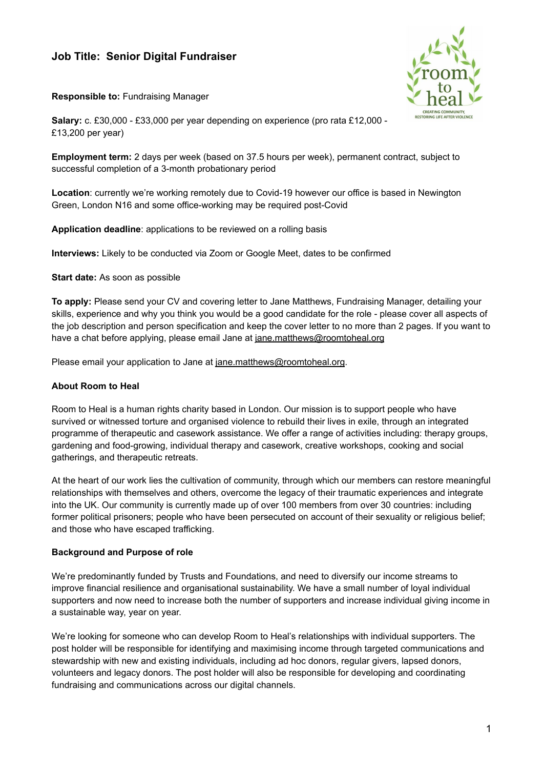## **Job Title: Senior Digital Fundraiser**



**Responsible to:** Fundraising Manager

**Salary:** c. £30,000 - £33,000 per year depending on experience (pro rata £12,000 - £13,200 per year)

**Employment term:** 2 days per week (based on 37.5 hours per week), permanent contract, subject to successful completion of a 3-month probationary period

**Location**: currently we're working remotely due to Covid-19 however our office is based in Newington Green, London N16 and some office-working may be required post-Covid

**Application deadline**: applications to be reviewed on a rolling basis

**Interviews:** Likely to be conducted via Zoom or Google Meet, dates to be confirmed

**Start date:** As soon as possible

**To apply:** Please send your CV and covering letter to Jane Matthews, Fundraising Manager, detailing your skills, experience and why you think you would be a good candidate for the role - please cover all aspects of the job description and person specification and keep the cover letter to no more than 2 pages. If you want to have a chat before applying, please email Jane at [jane.matthews@roomtoheal.org](mailto:jane.matthews@roomtoheal.org)

Please email your application to Jane at [jane.matthews@roomtoheal.org](mailto:jane.matthews@roomtoheal.org).

## **About Room to Heal**

Room to Heal is a human rights charity based in London. Our mission is to support people who have survived or witnessed torture and organised violence to rebuild their lives in exile, through an integrated programme of therapeutic and casework assistance. We offer a range of activities including: therapy groups, gardening and food-growing, individual therapy and casework, creative workshops, cooking and social gatherings, and therapeutic retreats.

At the heart of our work lies the cultivation of community, through which our members can restore meaningful relationships with themselves and others, overcome the legacy of their traumatic experiences and integrate into the UK. Our community is currently made up of over 100 members from over 30 countries: including former political prisoners; people who have been persecuted on account of their sexuality or religious belief; and those who have escaped trafficking.

## **Background and Purpose of role**

We're predominantly funded by Trusts and Foundations, and need to diversify our income streams to improve financial resilience and organisational sustainability. We have a small number of loyal individual supporters and now need to increase both the number of supporters and increase individual giving income in a sustainable way, year on year.

We're looking for someone who can develop Room to Heal's relationships with individual supporters. The post holder will be responsible for identifying and maximising income through targeted communications and stewardship with new and existing individuals, including ad hoc donors, regular givers, lapsed donors, volunteers and legacy donors. The post holder will also be responsible for developing and coordinating fundraising and communications across our digital channels.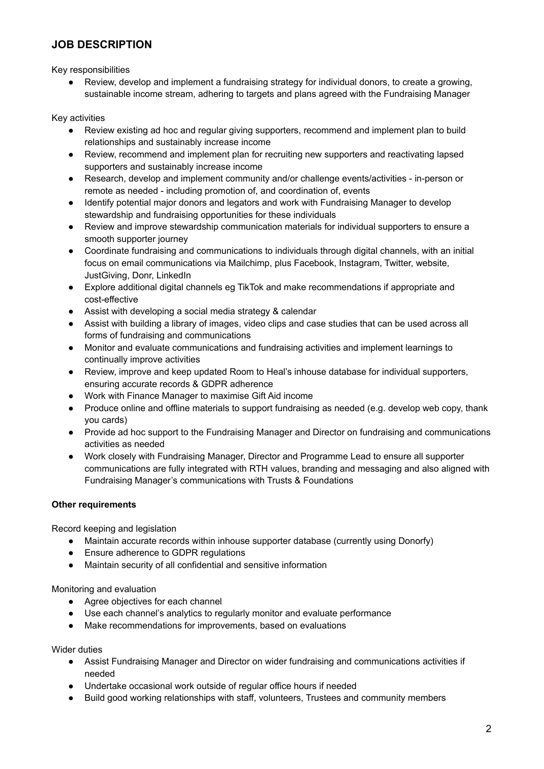# **JOB DESCRIPTION**

Key responsibilities

Review, develop and implement a fundraising strategy for individual donors, to create a growing, sustainable income stream, adhering to targets and plans agreed with the Fundraising Manager

Key activities

- Review existing ad hoc and regular giving supporters, recommend and implement plan to build relationships and sustainably increase income
- Review, recommend and implement plan for recruiting new supporters and reactivating lapsed supporters and sustainably increase income
- Research, develop and implement community and/or challenge events/activities in-person or remote as needed - including promotion of, and coordination of, events
- Identify potential major donors and legators and work with Fundraising Manager to develop stewardship and fundraising opportunities for these individuals
- Review and improve stewardship communication materials for individual supporters to ensure a smooth supporter journey
- Coordinate fundraising and communications to individuals through digital channels, with an initial focus on email communications via Mailchimp, plus Facebook, Instagram, Twitter, website, JustGiving, Donr, LinkedIn
- Explore additional digital channels eg TikTok and make recommendations if appropriate and cost-effective
- Assist with developing a social media strategy & calendar
- Assist with building a library of images, video clips and case studies that can be used across all forms of fundraising and communications
- Monitor and evaluate communications and fundraising activities and implement learnings to continually improve activities
- Review, improve and keep updated Room to Heal's inhouse database for individual supporters, ensuring accurate records & GDPR adherence
- Work with Finance Manager to maximise Gift Aid income
- Produce online and offline materials to support fundraising as needed (e.g. develop web copy, thank you cards)
- Provide ad hoc support to the Fundraising Manager and Director on fundraising and communications activities as needed
- Work closely with Fundraising Manager, Director and Programme Lead to ensure all supporter communications are fully integrated with RTH values, branding and messaging and also aligned with Fundraising Manager's communications with Trusts & Foundations

## **Other requirements**

Record keeping and legislation

- Maintain accurate records within inhouse supporter database (currently using Donorfy)
- Ensure adherence to GDPR regulations
- Maintain security of all confidential and sensitive information

Monitoring and evaluation

- Agree objectives for each channel
- Use each channel's analytics to regularly monitor and evaluate performance
- Make recommendations for improvements, based on evaluations

Wider duties

- Assist Fundraising Manager and Director on wider fundraising and communications activities if needed
- Undertake occasional work outside of regular office hours if needed
- Build good working relationships with staff, volunteers, Trustees and community members